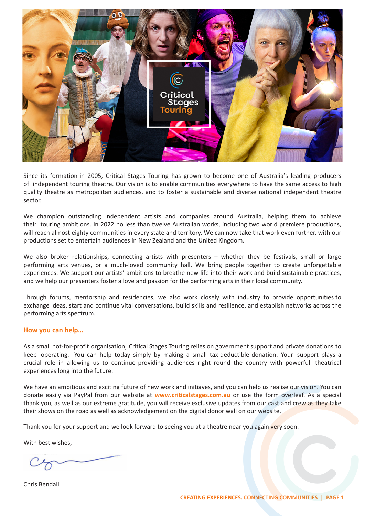Since its formation in 2005, Critical Stages Touring has grown to become one of Australia's leading producers of independent touring theatre. Our vision is to enable communities everywhere to have the same access to high quality theatre as metropolitan audiences, and to foster a sustainable and diverse national independent theatre sector.

We champion outstanding independent artists and companies around Australia, helping them to achieve their touring ambitions. In 2022 no less than twelve Australian works, including two world premiere productions, will reach almost eighty communities in every state and territory. We can now take that work even further, with our productions set to entertain audiences in New Zealand and the United Kingdom.

We also broker relationships, connecting artists with presenters – whether they be festivals, small or large performing arts venues, or a much-loved community hall. We bring people together to create unforgettable experiences. We support our artists' ambitions to breathe new life into their work and build sustainable practices, and we help our presenters foster a love and passion for the performing arts in their local community.

Through forums, mentorship and residencies, we also work closely with industry to provide opportunities to exchange ideas, start and continue vital conversations, build skills and resilience, and establish networks across the performing arts spectrum.

## **How you can help…**

As a small not-for-profit organisation, Critical Stages Touring relies on government support and private donations to keep operating. You can help today simply by making a small tax-deductible donation. Your support plays a crucial role in allowing us to continue providing audiences right round the country with powerful theatrical experiences long into the future.

We have an ambitious and exciting future of new work and initiatives, and you can help us realise our vision. You can donate easily via PayPal from our website at **www.criticalstages.com.au** or use the form overleaf. As a special thank you, as well as our extreme gratitude, you will receive exclusive updates from our cast and crew as they take their shows on the road as well as acknowledgement on the digital donor wall on our website.

Thank you for your support and we look forward to seeing you at a theatre near you again very soon.

With best wishes,

Chris Bendall